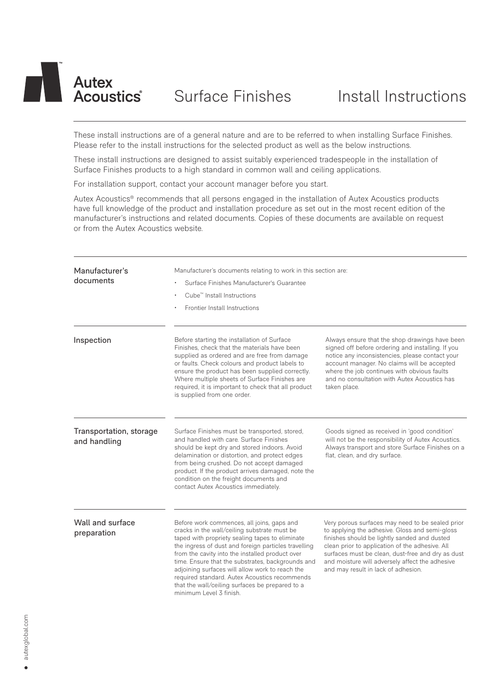# **Autex** Acoustics<sup>®</sup>

These install instructions are of a general nature and are to be referred to when installing Surface Finishes. Please refer to the install instructions for the selected product as well as the below instructions.

These install instructions are designed to assist suitably experienced tradespeople in the installation of Surface Finishes products to a high standard in common wall and ceiling applications.

For installation support, contact your account manager before you start.

Autex Acoustics® recommends that all persons engaged in the installation of Autex Acoustics products have full knowledge of the product and installation procedure as set out in the most recent edition of the manufacturer's instructions and related documents. Copies of these documents are available on request or from the Autex Acoustics website.

| Manufacturer's<br>documents             | Manufacturer's documents relating to work in this section are:<br>Surface Finishes Manufacturer's Guarantee<br>Cube <sup>™</sup> Install Instructions<br>Frontier Install Instructions                                                                                                                                                                                                                                                                                                          |                                                                                                                                                                                                                                                                                                                                                      |
|-----------------------------------------|-------------------------------------------------------------------------------------------------------------------------------------------------------------------------------------------------------------------------------------------------------------------------------------------------------------------------------------------------------------------------------------------------------------------------------------------------------------------------------------------------|------------------------------------------------------------------------------------------------------------------------------------------------------------------------------------------------------------------------------------------------------------------------------------------------------------------------------------------------------|
| Inspection                              | Before starting the installation of Surface<br>Finishes, check that the materials have been<br>supplied as ordered and are free from damage<br>or faults. Check colours and product labels to<br>ensure the product has been supplied correctly.<br>Where multiple sheets of Surface Finishes are<br>required, it is important to check that all product<br>is supplied from one order.                                                                                                         | Always ensure that the shop drawings have been<br>signed off before ordering and installing. If you<br>notice any inconsistencies, please contact your<br>account manager. No claims will be accepted<br>where the job continues with obvious faults<br>and no consultation with Autex Acoustics has<br>taken place.                                 |
| Transportation, storage<br>and handling | Surface Finishes must be transported, stored,<br>and handled with care. Surface Finishes<br>should be kept dry and stored indoors. Avoid<br>delamination or distortion, and protect edges<br>from being crushed. Do not accept damaged<br>product. If the product arrives damaged, note the<br>condition on the freight documents and<br>contact Autex Acoustics immediately.                                                                                                                   | Goods signed as received in 'good condition'<br>will not be the responsibility of Autex Acoustics.<br>Always transport and store Surface Finishes on a<br>flat, clean, and dry surface.                                                                                                                                                              |
| Wall and surface<br>preparation         | Before work commences, all joins, gaps and<br>cracks in the wall/ceiling substrate must be<br>taped with propriety sealing tapes to eliminate<br>the ingress of dust and foreign particles travelling<br>from the cavity into the installed product over<br>time. Ensure that the substrates, backgrounds and<br>adjoining surfaces will allow work to reach the<br>required standard. Autex Acoustics recommends<br>that the wall/ceiling surfaces be prepared to a<br>minimum Level 3 finish. | Very porous surfaces may need to be sealed prior<br>to applying the adhesive. Gloss and semi-gloss<br>finishes should be lightly sanded and dusted<br>clean prior to application of the adhesive. All<br>surfaces must be clean, dust-free and dry as dust<br>and moisture will adversely affect the adhesive<br>and may result in lack of adhesion. |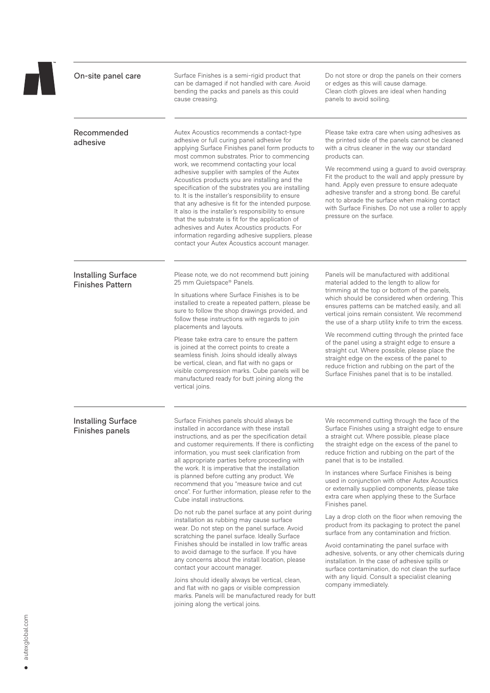| On-site panel care                            | Surface Finishes is a semi-rigid product that<br>can be damaged if not handled with care. Avoid<br>bending the packs and panels as this could<br>cause creasing.                                                                                                                                                                                                                                                                                                                                                                                                                                                                                                                                                                                                        | Do not store or drop the panels on their corners<br>or edges as this will cause damage.<br>Clean cloth gloves are ideal when handing<br>panels to avoid soiling.                                                                                                                                                                                                                                                                                                                                                                                                                                              |
|-----------------------------------------------|-------------------------------------------------------------------------------------------------------------------------------------------------------------------------------------------------------------------------------------------------------------------------------------------------------------------------------------------------------------------------------------------------------------------------------------------------------------------------------------------------------------------------------------------------------------------------------------------------------------------------------------------------------------------------------------------------------------------------------------------------------------------------|---------------------------------------------------------------------------------------------------------------------------------------------------------------------------------------------------------------------------------------------------------------------------------------------------------------------------------------------------------------------------------------------------------------------------------------------------------------------------------------------------------------------------------------------------------------------------------------------------------------|
| Recommended<br>adhesive                       | Autex Acoustics recommends a contact-type<br>adhesive or full curing panel adhesive for<br>applying Surface Finishes panel form products to<br>most common substrates. Prior to commencing<br>work, we recommend contacting your local<br>adhesive supplier with samples of the Autex<br>Acoustics products you are installing and the<br>specification of the substrates you are installing<br>to. It is the installer's responsibility to ensure<br>that any adhesive is fit for the intended purpose.<br>It also is the installer's responsibility to ensure<br>that the substrate is fit for the application of<br>adhesives and Autex Acoustics products. For<br>information regarding adhesive suppliers, please<br>contact your Autex Acoustics account manager. | Please take extra care when using adhesives as<br>the printed side of the panels cannot be cleaned<br>with a citrus cleaner in the way our standard<br>products can.<br>We recommend using a guard to avoid overspray.<br>Fit the product to the wall and apply pressure by<br>hand. Apply even pressure to ensure adequate<br>adhesive transfer and a strong bond. Be careful<br>not to abrade the surface when making contact<br>with Surface Finishes. Do not use a roller to apply<br>pressure on the surface.                                                                                            |
| Installing Surface<br><b>Finishes Pattern</b> | Please note, we do not recommend butt joining<br>25 mm Quietspace® Panels.<br>In situations where Surface Finishes is to be<br>installed to create a repeated pattern, please be<br>sure to follow the shop drawings provided, and<br>follow these instructions with regards to join<br>placements and layouts.<br>Please take extra care to ensure the pattern<br>is joined at the correct points to create a<br>seamless finish. Joins should ideally always<br>be vertical, clean, and flat with no gaps or                                                                                                                                                                                                                                                          | Panels will be manufactured with additional<br>material added to the length to allow for<br>trimming at the top or bottom of the panels,<br>which should be considered when ordering. This<br>ensures patterns can be matched easily, and all<br>vertical joins remain consistent. We recommend<br>the use of a sharp utility knife to trim the excess.<br>We recommend cutting through the printed face<br>of the panel using a straight edge to ensure a<br>straight cut. Where possible, please place the<br>straight edge on the excess of the panel to<br>reduce friction and rubbing on the part of the |
| <b>Installing Surface</b><br>Finishes panels  | visible compression marks. Cube panels will be<br>manufactured ready for butt joining along the<br>vertical joins.<br>Surface Finishes panels should always be<br>installed in accordance with these install<br>instructions, and as per the specification detail<br>and customer requirements. If there is conflicting<br>information, you must seek clarification from                                                                                                                                                                                                                                                                                                                                                                                                | Surface Finishes panel that is to be installed.<br>We recommend cutting through the face of the<br>Surface Finishes using a straight edge to ensure<br>a straight cut. Where possible, please place<br>the straight edge on the excess of the panel to<br>reduce friction and rubbing on the part of the                                                                                                                                                                                                                                                                                                      |
|                                               | all appropriate parties before proceeding with<br>the work. It is imperative that the installation<br>is planned before cutting any product. We<br>recommend that you "measure twice and cut<br>once". For further information, please refer to the<br>Cube install instructions.                                                                                                                                                                                                                                                                                                                                                                                                                                                                                       | panel that is to be installed.<br>In instances where Surface Finishes is being<br>used in conjunction with other Autex Acoustics<br>or externally supplied components, please take<br>extra care when applying these to the Surface<br>Finishes panel.                                                                                                                                                                                                                                                                                                                                                        |
|                                               | Do not rub the panel surface at any point during<br>installation as rubbing may cause surface<br>wear. Do not step on the panel surface. Avoid<br>scratching the panel surface. Ideally Surface<br>Finishes should be installed in low traffic areas<br>to avoid damage to the surface. If you have<br>any concerns about the install location, please<br>contact your account manager.                                                                                                                                                                                                                                                                                                                                                                                 | Lay a drop cloth on the floor when removing the<br>product from its packaging to protect the panel<br>surface from any contamination and friction.<br>Avoid contaminating the panel surface with<br>adhesive, solvents, or any other chemicals during<br>installation. In the case of adhesive spills or<br>surface contamination, do not clean the surface                                                                                                                                                                                                                                                   |
|                                               | Joins should ideally always be vertical, clean,<br>and flat with no gaps or visible compression<br>marks. Panels will be manufactured ready for butt<br>joining along the vertical joins.                                                                                                                                                                                                                                                                                                                                                                                                                                                                                                                                                                               | with any liquid. Consult a specialist cleaning<br>company immediately.                                                                                                                                                                                                                                                                                                                                                                                                                                                                                                                                        |

autexglobal.com autexglobal.com $\bullet$